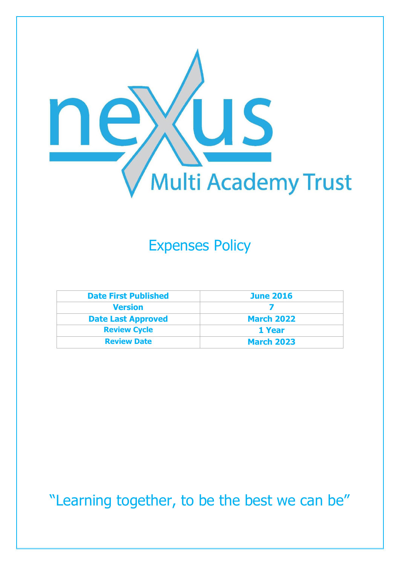

# Expenses Policy

| <b>Date First Published</b> | <b>June 2016</b>  |
|-----------------------------|-------------------|
| <b>Version</b>              |                   |
| <b>Date Last Approved</b>   | <b>March 2022</b> |
| <b>Review Cycle</b>         | 1 Year            |
| <b>Review Date</b>          | <b>March 2023</b> |

"Learning together, to be the best we can be"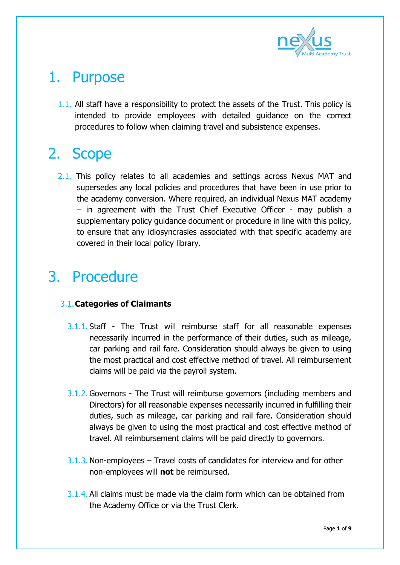

#### 1. Purpose

1.1. All staff have a responsibility to protect the assets of the Trust. This policy is intended to provide employees with detailed guidance on the correct procedures to follow when claiming travel and subsistence expenses.

# 2. Scope

2.1. This policy relates to all academies and settings across Nexus MAT and supersedes any local policies and procedures that have been in use prior to the academy conversion. Where required, an individual Nexus MAT academy – in agreement with the Trust Chief Executive Officer - may publish a supplementary policy guidance document or procedure in line with this policy, to ensure that any idiosyncrasies associated with that specific academy are covered in their local policy library.

# 3. Procedure

#### 3.1.**Categories of Claimants**

- 3.1.1. Staff The Trust will reimburse staff for all reasonable expenses necessarily incurred in the performance of their duties, such as mileage, car parking and rail fare. Consideration should always be given to using the most practical and cost effective method of travel. All reimbursement claims will be paid via the payroll system.
- 3.1.2. Governors The Trust will reimburse governors (including members and Directors) for all reasonable expenses necessarily incurred in fulfilling their duties, such as mileage, car parking and rail fare. Consideration should always be given to using the most practical and cost effective method of travel. All reimbursement claims will be paid directly to governors.
- 3.1.3. Non-employees Travel costs of candidates for interview and for other non-employees will **not** be reimbursed.
- 3.1.4. All claims must be made via the claim form which can be obtained from the Academy Office or via the Trust Clerk.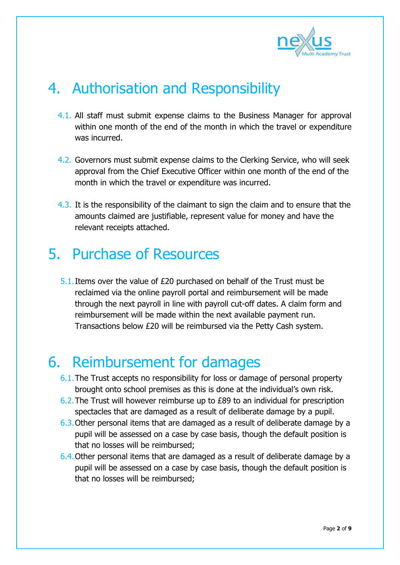

# 4. Authorisation and Responsibility

- 4.1. All staff must submit expense claims to the Business Manager for approval within one month of the end of the month in which the travel or expenditure was incurred.
- 4.2. Governors must submit expense claims to the Clerking Service, who will seek approval from the Chief Executive Officer within one month of the end of the month in which the travel or expenditure was incurred.
- 4.3. It is the responsibility of the claimant to sign the claim and to ensure that the amounts claimed are justifiable, represent value for money and have the relevant receipts attached.

#### 5. Purchase of Resources

5.1. Items over the value of  $£20$  purchased on behalf of the Trust must be reclaimed via the online payroll portal and reimbursement will be made through the next payroll in line with payroll cut-off dates. A claim form and reimbursement will be made within the next available payment run. Transactions below £20 will be reimbursed via the Petty Cash system.

#### 6. Reimbursement for damages

- 6.1.The Trust accepts no responsibility for loss or damage of personal property brought onto school premises as this is done at the individual's own risk.
- 6.2.The Trust will however reimburse up to £89 to an individual for prescription spectacles that are damaged as a result of deliberate damage by a pupil.
- 6.3.Other personal items that are damaged as a result of deliberate damage by a pupil will be assessed on a case by case basis, though the default position is that no losses will be reimbursed;
- 6.4.Other personal items that are damaged as a result of deliberate damage by a pupil will be assessed on a case by case basis, though the default position is that no losses will be reimbursed;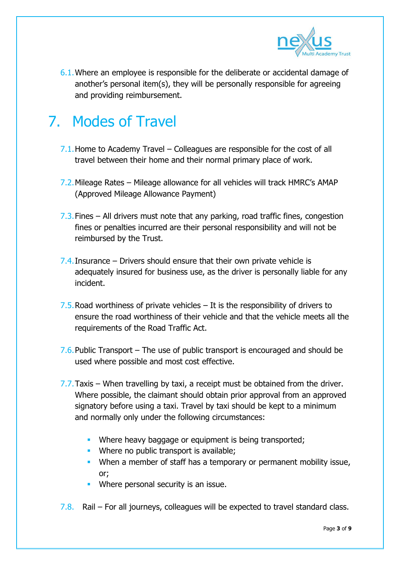

6.1.Where an employee is responsible for the deliberate or accidental damage of another's personal item(s), they will be personally responsible for agreeing and providing reimbursement.

# 7. Modes of Travel

- 7.1.Home to Academy Travel Colleagues are responsible for the cost of all travel between their home and their normal primary place of work.
- 7.2.Mileage Rates Mileage allowance for all vehicles will track HMRC's AMAP (Approved Mileage Allowance Payment)
- 7.3.Fines All drivers must note that any parking, road traffic fines, congestion fines or penalties incurred are their personal responsibility and will not be reimbursed by the Trust.
- 7.4. Insurance Drivers should ensure that their own private vehicle is adequately insured for business use, as the driver is personally liable for any incident.
- 7.5. Road worthiness of private vehicles  $-$  It is the responsibility of drivers to ensure the road worthiness of their vehicle and that the vehicle meets all the requirements of the Road Traffic Act.
- 7.6. Public Transport The use of public transport is encouraged and should be used where possible and most cost effective.
- 7.7.Taxis When travelling by taxi, a receipt must be obtained from the driver. Where possible, the claimant should obtain prior approval from an approved signatory before using a taxi. Travel by taxi should be kept to a minimum and normally only under the following circumstances:
	- Where heavy baggage or equipment is being transported;
	- **Where no public transport is available;**
	- When a member of staff has a temporary or permanent mobility issue, or;
	- Where personal security is an issue.
- 7.8. Rail For all journeys, colleagues will be expected to travel standard class.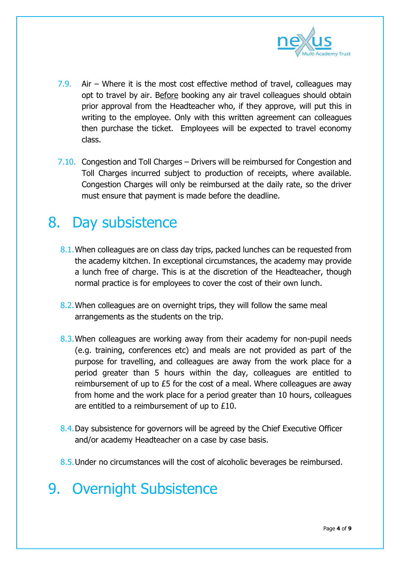

- 7.9. Air Where it is the most cost effective method of travel, colleagues may opt to travel by air. Before booking any air travel colleagues should obtain prior approval from the Headteacher who, if they approve, will put this in writing to the employee. Only with this written agreement can colleagues then purchase the ticket. Employees will be expected to travel economy class.
- 7.10. Congestion and Toll Charges Drivers will be reimbursed for Congestion and Toll Charges incurred subject to production of receipts, where available. Congestion Charges will only be reimbursed at the daily rate, so the driver must ensure that payment is made before the deadline.

#### 8. Day subsistence

- 8.1. When colleagues are on class day trips, packed lunches can be requested from the academy kitchen. In exceptional circumstances, the academy may provide a lunch free of charge. This is at the discretion of the Headteacher, though normal practice is for employees to cover the cost of their own lunch.
- 8.2.When colleagues are on overnight trips, they will follow the same meal arrangements as the students on the trip.
- 8.3. When colleagues are working away from their academy for non-pupil needs (e.g. training, conferences etc) and meals are not provided as part of the purpose for travelling, and colleagues are away from the work place for a period greater than 5 hours within the day, colleagues are entitled to reimbursement of up to £5 for the cost of a meal. Where colleagues are away from home and the work place for a period greater than 10 hours, colleagues are entitled to a reimbursement of up to £10.
- 8.4. Day subsistence for governors will be agreed by the Chief Executive Officer and/or academy Headteacher on a case by case basis.
- 8.5.Under no circumstances will the cost of alcoholic beverages be reimbursed.

#### 9. Overnight Subsistence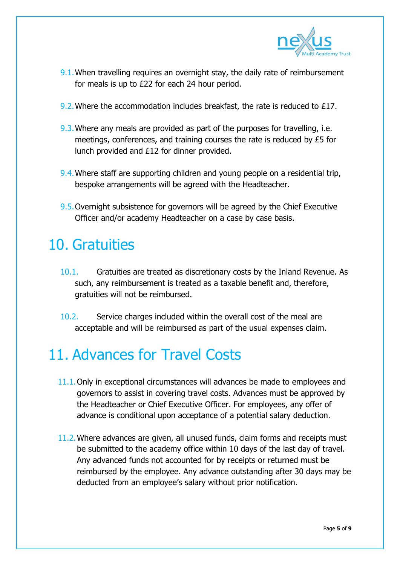

- 9.1. When travelling requires an overnight stay, the daily rate of reimbursement for meals is up to £22 for each 24 hour period.
- 9.2. Where the accommodation includes breakfast, the rate is reduced to £17.
- 9.3. Where any meals are provided as part of the purposes for travelling, i.e. meetings, conferences, and training courses the rate is reduced by £5 for lunch provided and £12 for dinner provided.
- 9.4.Where staff are supporting children and young people on a residential trip, bespoke arrangements will be agreed with the Headteacher.
- 9.5.Overnight subsistence for governors will be agreed by the Chief Executive Officer and/or academy Headteacher on a case by case basis.

#### 10. Gratuities

- 10.1. Gratuities are treated as discretionary costs by the Inland Revenue. As such, any reimbursement is treated as a taxable benefit and, therefore, gratuities will not be reimbursed.
- 10.2. Service charges included within the overall cost of the meal are acceptable and will be reimbursed as part of the usual expenses claim.

# 11. Advances for Travel Costs

- 11.1. Only in exceptional circumstances will advances be made to employees and governors to assist in covering travel costs. Advances must be approved by the Headteacher or Chief Executive Officer. For employees, any offer of advance is conditional upon acceptance of a potential salary deduction.
- 11.2.Where advances are given, all unused funds, claim forms and receipts must be submitted to the academy office within 10 days of the last day of travel. Any advanced funds not accounted for by receipts or returned must be reimbursed by the employee. Any advance outstanding after 30 days may be deducted from an employee's salary without prior notification.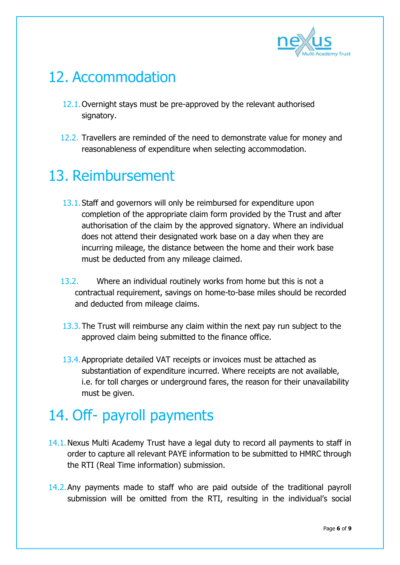

# 12. Accommodation

- 12.1.Overnight stays must be pre-approved by the relevant authorised signatory.
- 12.2. Travellers are reminded of the need to demonstrate value for money and reasonableness of expenditure when selecting accommodation.

# 13. Reimbursement

- 13.1.Staff and governors will only be reimbursed for expenditure upon completion of the appropriate claim form provided by the Trust and after authorisation of the claim by the approved signatory. Where an individual does not attend their designated work base on a day when they are incurring mileage, the distance between the home and their work base must be deducted from any mileage claimed.
- 13.2. Where an individual routinely works from home but this is not a contractual requirement, savings on home-to-base miles should be recorded and deducted from mileage claims.
- 13.3.The Trust will reimburse any claim within the next pay run subject to the approved claim being submitted to the finance office.
- 13.4.Appropriate detailed VAT receipts or invoices must be attached as substantiation of expenditure incurred. Where receipts are not available, i.e. for toll charges or underground fares, the reason for their unavailability must be given.

# 14. Off- payroll payments

- 14.1.Nexus Multi Academy Trust have a legal duty to record all payments to staff in order to capture all relevant PAYE information to be submitted to HMRC through the RTI (Real Time information) submission.
- 14.2.Any payments made to staff who are paid outside of the traditional payroll submission will be omitted from the RTI, resulting in the individual's social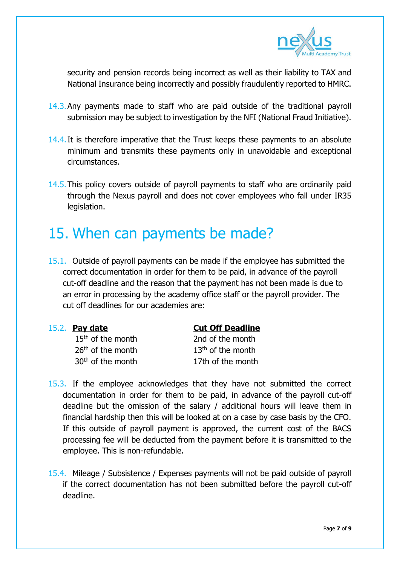

security and pension records being incorrect as well as their liability to TAX and National Insurance being incorrectly and possibly fraudulently reported to HMRC.

- 14.3.Any payments made to staff who are paid outside of the traditional payroll submission may be subject to investigation by the NFI (National Fraud Initiative).
- 14.4. It is therefore imperative that the Trust keeps these payments to an absolute minimum and transmits these payments only in unavoidable and exceptional circumstances.
- 14.5.This policy covers outside of payroll payments to staff who are ordinarily paid through the Nexus payroll and does not cover employees who fall under IR35 legislation.

# 15. When can payments be made?

15.1. Outside of payroll payments can be made if the employee has submitted the correct documentation in order for them to be paid, in advance of the payroll cut-off deadline and the reason that the payment has not been made is due to an error in processing by the academy office staff or the payroll provider. The cut off deadlines for our academies are:

15<sup>th</sup> of the month 2nd of the month

15.2. **Pay date Cut Off Deadline**

 $26<sup>th</sup>$  of the month  $13<sup>th</sup>$  of the month  $30<sup>th</sup>$  of the month 17th of the month

- 15.3. If the employee acknowledges that they have not submitted the correct documentation in order for them to be paid, in advance of the payroll cut-off deadline but the omission of the salary / additional hours will leave them in financial hardship then this will be looked at on a case by case basis by the CFO. If this outside of payroll payment is approved, the current cost of the BACS processing fee will be deducted from the payment before it is transmitted to the employee. This is non-refundable.
- 15.4. Mileage / Subsistence / Expenses payments will not be paid outside of payroll if the correct documentation has not been submitted before the payroll cut-off deadline.